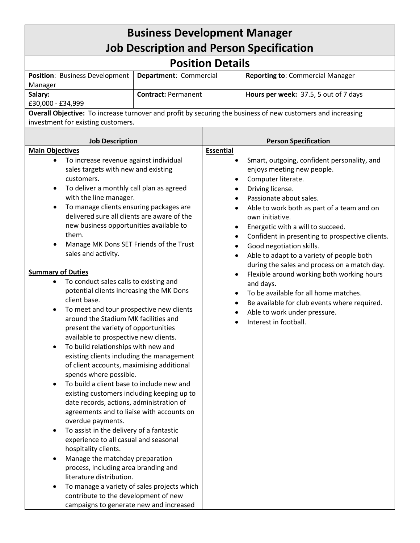| <b>Business Development Manager</b>                                                                                                                                                                                                                                                                                                                                                                                                                                                                                                                                                                                                                                                                                                                                                                                                                                                                                                                                                                                                                                                                                                                                                                                                                                                                                                                                                                                                                                                                           |                            |                        |                                                                                                                                                                                                                                                                                                                                                                                                                                                                                                                                                                                                                                               |  |
|---------------------------------------------------------------------------------------------------------------------------------------------------------------------------------------------------------------------------------------------------------------------------------------------------------------------------------------------------------------------------------------------------------------------------------------------------------------------------------------------------------------------------------------------------------------------------------------------------------------------------------------------------------------------------------------------------------------------------------------------------------------------------------------------------------------------------------------------------------------------------------------------------------------------------------------------------------------------------------------------------------------------------------------------------------------------------------------------------------------------------------------------------------------------------------------------------------------------------------------------------------------------------------------------------------------------------------------------------------------------------------------------------------------------------------------------------------------------------------------------------------------|----------------------------|------------------------|-----------------------------------------------------------------------------------------------------------------------------------------------------------------------------------------------------------------------------------------------------------------------------------------------------------------------------------------------------------------------------------------------------------------------------------------------------------------------------------------------------------------------------------------------------------------------------------------------------------------------------------------------|--|
| <b>Job Description and Person Specification</b>                                                                                                                                                                                                                                                                                                                                                                                                                                                                                                                                                                                                                                                                                                                                                                                                                                                                                                                                                                                                                                                                                                                                                                                                                                                                                                                                                                                                                                                               |                            |                        |                                                                                                                                                                                                                                                                                                                                                                                                                                                                                                                                                                                                                                               |  |
| <b>Position Details</b>                                                                                                                                                                                                                                                                                                                                                                                                                                                                                                                                                                                                                                                                                                                                                                                                                                                                                                                                                                                                                                                                                                                                                                                                                                                                                                                                                                                                                                                                                       |                            |                        |                                                                                                                                                                                                                                                                                                                                                                                                                                                                                                                                                                                                                                               |  |
| Department: Commercial<br>Position: Business Development                                                                                                                                                                                                                                                                                                                                                                                                                                                                                                                                                                                                                                                                                                                                                                                                                                                                                                                                                                                                                                                                                                                                                                                                                                                                                                                                                                                                                                                      |                            |                        | <b>Reporting to: Commercial Manager</b>                                                                                                                                                                                                                                                                                                                                                                                                                                                                                                                                                                                                       |  |
| Manager<br>Salary:                                                                                                                                                                                                                                                                                                                                                                                                                                                                                                                                                                                                                                                                                                                                                                                                                                                                                                                                                                                                                                                                                                                                                                                                                                                                                                                                                                                                                                                                                            | <b>Contract: Permanent</b> |                        | Hours per week: 37.5, 5 out of 7 days                                                                                                                                                                                                                                                                                                                                                                                                                                                                                                                                                                                                         |  |
| £30,000 - £34,999                                                                                                                                                                                                                                                                                                                                                                                                                                                                                                                                                                                                                                                                                                                                                                                                                                                                                                                                                                                                                                                                                                                                                                                                                                                                                                                                                                                                                                                                                             |                            |                        |                                                                                                                                                                                                                                                                                                                                                                                                                                                                                                                                                                                                                                               |  |
|                                                                                                                                                                                                                                                                                                                                                                                                                                                                                                                                                                                                                                                                                                                                                                                                                                                                                                                                                                                                                                                                                                                                                                                                                                                                                                                                                                                                                                                                                                               |                            |                        | Overall Objective: To increase turnover and profit by securing the business of new customers and increasing                                                                                                                                                                                                                                                                                                                                                                                                                                                                                                                                   |  |
| investment for existing customers.                                                                                                                                                                                                                                                                                                                                                                                                                                                                                                                                                                                                                                                                                                                                                                                                                                                                                                                                                                                                                                                                                                                                                                                                                                                                                                                                                                                                                                                                            |                            |                        |                                                                                                                                                                                                                                                                                                                                                                                                                                                                                                                                                                                                                                               |  |
| <b>Job Description</b>                                                                                                                                                                                                                                                                                                                                                                                                                                                                                                                                                                                                                                                                                                                                                                                                                                                                                                                                                                                                                                                                                                                                                                                                                                                                                                                                                                                                                                                                                        |                            |                        | <b>Person Specification</b>                                                                                                                                                                                                                                                                                                                                                                                                                                                                                                                                                                                                                   |  |
| <b>Main Objectives</b>                                                                                                                                                                                                                                                                                                                                                                                                                                                                                                                                                                                                                                                                                                                                                                                                                                                                                                                                                                                                                                                                                                                                                                                                                                                                                                                                                                                                                                                                                        |                            | <b>Essential</b>       |                                                                                                                                                                                                                                                                                                                                                                                                                                                                                                                                                                                                                                               |  |
| To increase revenue against individual<br>$\bullet$<br>sales targets with new and existing<br>customers.<br>To deliver a monthly call plan as agreed<br>$\bullet$<br>with the line manager.<br>To manage clients ensuring packages are<br>$\bullet$<br>delivered sure all clients are aware of the<br>new business opportunities available to<br>them.<br>Manage MK Dons SET Friends of the Trust<br>$\bullet$<br>sales and activity.<br><b>Summary of Duties</b><br>To conduct sales calls to existing and<br>$\bullet$<br>potential clients increasing the MK Dons<br>client base.<br>To meet and tour prospective new clients<br>$\bullet$<br>around the Stadium MK facilities and<br>present the variety of opportunities<br>available to prospective new clients.<br>To build relationships with new and<br>existing clients including the management<br>of client accounts, maximising additional<br>spends where possible.<br>To build a client base to include new and<br>existing customers including keeping up to<br>date records, actions, administration of<br>agreements and to liaise with accounts on<br>overdue payments.<br>To assist in the delivery of a fantastic<br>$\bullet$<br>experience to all casual and seasonal<br>hospitality clients.<br>Manage the matchday preparation<br>process, including area branding and<br>literature distribution.<br>To manage a variety of sales projects which<br>contribute to the development of new<br>campaigns to generate new and increased |                            | $\bullet$<br>$\bullet$ | Smart, outgoing, confident personality, and<br>enjoys meeting new people.<br>Computer literate.<br>Driving license.<br>Passionate about sales.<br>Able to work both as part of a team and on<br>own initiative.<br>Energetic with a will to succeed.<br>Confident in presenting to prospective clients.<br>Good negotiation skills.<br>Able to adapt to a variety of people both<br>during the sales and process on a match day.<br>Flexible around working both working hours<br>and days.<br>To be available for all home matches.<br>Be available for club events where required.<br>Able to work under pressure.<br>Interest in football. |  |